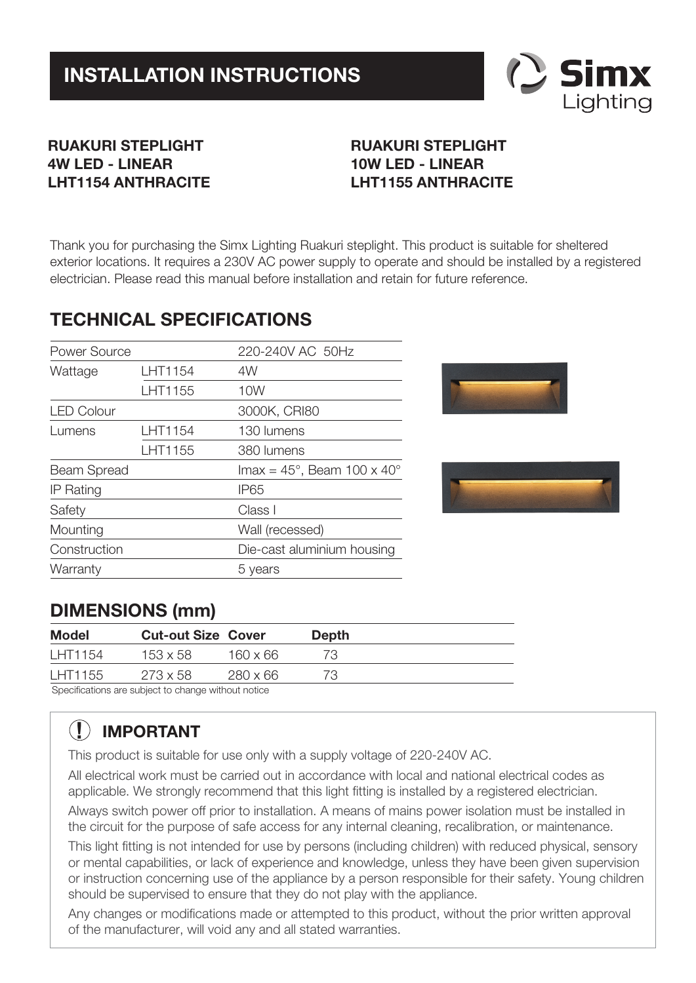

#### **RUAKURI STEPLIGHT 4W LED - LINEAR LHT1154 ANTHRACITE**

### **RUAKURI STEPLIGHT 10W LED - LINEAR LHT1155 ANTHRACITE**

Thank you for purchasing the Simx Lighting Ruakuri steplight. This product is suitable for sheltered exterior locations. It requires a 230V AC power supply to operate and should be installed by a registered electrician. Please read this manual before installation and retain for future reference.

### **TECHNICAL SPECIFICATIONS**

| Power Source      |         | 220-240V AC 50Hz                                      |  |
|-------------------|---------|-------------------------------------------------------|--|
| Wattage           | LHT1154 | 4W                                                    |  |
|                   | LHT1155 | 10W                                                   |  |
| <b>LED Colour</b> |         | 3000K, CRI80                                          |  |
| Lumens            | LHT1154 | 130 lumens                                            |  |
|                   | LHT1155 | 380 lumens                                            |  |
| Beam Spread       |         | $\text{Imax} = 45^{\circ}$ , Beam 100 x 40 $^{\circ}$ |  |
| <b>IP Rating</b>  |         | IP65                                                  |  |
| Safety            |         | Class I                                               |  |
| Mounting          |         | Wall (recessed)                                       |  |
| Construction      |         | Die-cast aluminium housing                            |  |
| Warranty          |         | 5 years                                               |  |
|                   |         |                                                       |  |





### **DIMENSIONS (mm)**

|                                                     | Model | <b>Cut-out Size Cover</b> | <b>Depth</b> |
|-----------------------------------------------------|-------|---------------------------|--------------|
| LHT1154<br>$160 \times 66$<br>$153 \times 58$<br>73 |       |                           |              |
| LHT1155<br>$273 \times 58$<br>$280 \times 66$<br>73 |       |                           |              |

Specifications are subject to change without notice

# **! IMPORTANT**

This product is suitable for use only with a supply voltage of 220-240V AC.

All electrical work must be carried out in accordance with local and national electrical codes as applicable. We strongly recommend that this light fitting is installed by a registered electrician.

Always switch power off prior to installation. A means of mains power isolation must be installed in the circuit for the purpose of safe access for any internal cleaning, recalibration, or maintenance.

This light fitting is not intended for use by persons (including children) with reduced physical, sensory or mental capabilities, or lack of experience and knowledge, unless they have been given supervision or instruction concerning use of the appliance by a person responsible for their safety. Young children should be supervised to ensure that they do not play with the appliance.

Any changes or modifications made or attempted to this product, without the prior written approval of the manufacturer, will void any and all stated warranties.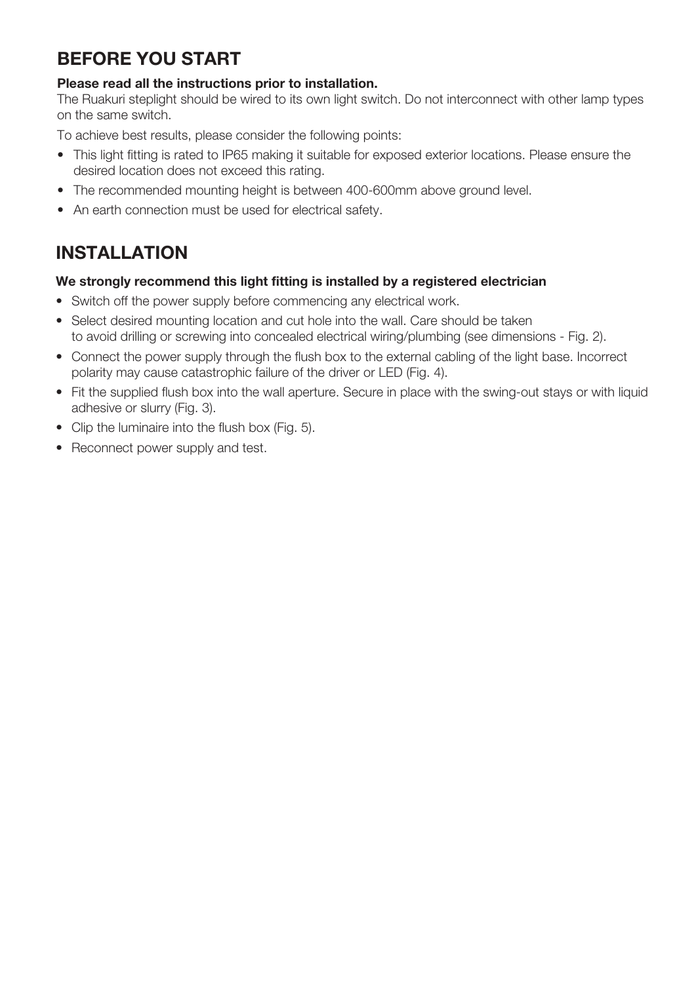## **BEFORE YOU START**

#### **Please read all the instructions prior to installation.**

The Ruakuri steplight should be wired to its own light switch. Do not interconnect with other lamp types on the same switch.

To achieve best results, please consider the following points:

- This light fitting is rated to IP65 making it suitable for exposed exterior locations. Please ensure the desired location does not exceed this rating.
- The recommended mounting height is between 400-600mm above ground level.
- An earth connection must be used for electrical safety.

### **INSTALLATION**

#### **We strongly recommend this light fitting is installed by a registered electrician**

- Switch off the power supply before commencing any electrical work.
- Select desired mounting location and cut hole into the wall. Care should be taken to avoid drilling or screwing into concealed electrical wiring/plumbing (see dimensions - Fig. 2).
- Connect the power supply through the flush box to the external cabling of the light base. Incorrect polarity may cause catastrophic failure of the driver or LED (Fig. 4).
- Fit the supplied flush box into the wall aperture. Secure in place with the swing-out stays or with liquid adhesive or slurry (Fig. 3).
- Clip the luminaire into the flush box (Fig. 5).
- Reconnect power supply and test.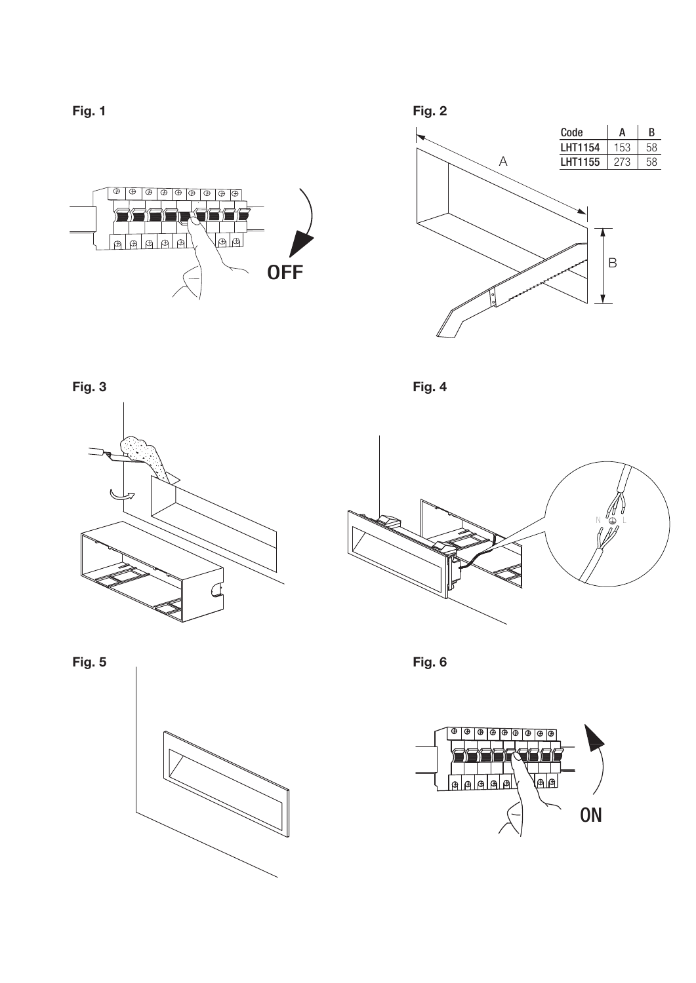